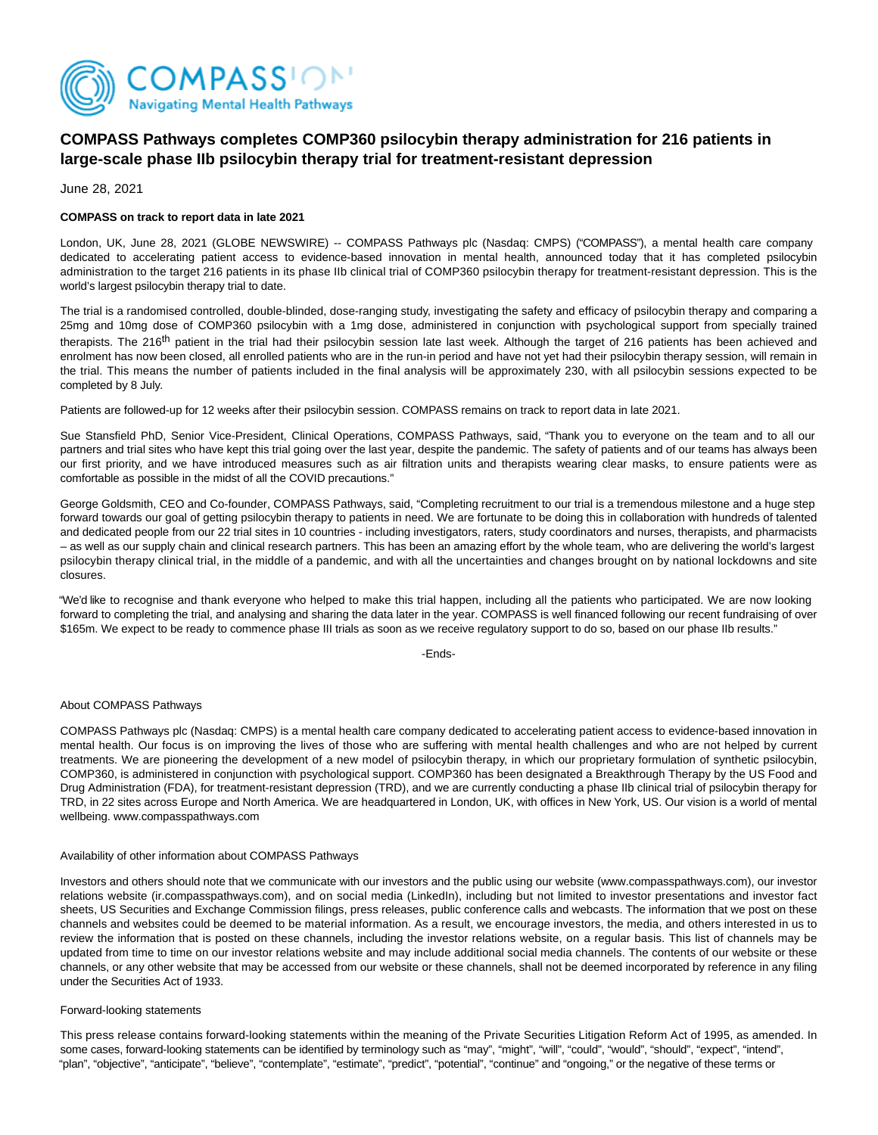

# **COMPASS Pathways completes COMP360 psilocybin therapy administration for 216 patients in large-scale phase IIb psilocybin therapy trial for treatment-resistant depression**

June 28, 2021

## **COMPASS on track to report data in late 2021**

London, UK, June 28, 2021 (GLOBE NEWSWIRE) -- COMPASS Pathways plc (Nasdaq: CMPS) ("COMPASS"), a mental health care company dedicated to accelerating patient access to evidence-based innovation in mental health, announced today that it has completed psilocybin administration to the target 216 patients in its phase IIb clinical trial of COMP360 psilocybin therapy for treatment-resistant depression. This is the world's largest psilocybin therapy trial to date.

The trial is a randomised controlled, double-blinded, dose-ranging study, investigating the safety and efficacy of psilocybin therapy and comparing a 25mg and 10mg dose of COMP360 psilocybin with a 1mg dose, administered in conjunction with psychological support from specially trained therapists. The 216<sup>th</sup> patient in the trial had their psilocybin session late last week. Although the target of 216 patients has been achieved and enrolment has now been closed, all enrolled patients who are in the run-in period and have not yet had their psilocybin therapy session, will remain in the trial. This means the number of patients included in the final analysis will be approximately 230, with all psilocybin sessions expected to be completed by 8 July.

Patients are followed-up for 12 weeks after their psilocybin session. COMPASS remains on track to report data in late 2021.

Sue Stansfield PhD, Senior Vice-President, Clinical Operations, COMPASS Pathways, said, "Thank you to everyone on the team and to all our partners and trial sites who have kept this trial going over the last year, despite the pandemic. The safety of patients and of our teams has always been our first priority, and we have introduced measures such as air filtration units and therapists wearing clear masks, to ensure patients were as comfortable as possible in the midst of all the COVID precautions."

George Goldsmith, CEO and Co-founder, COMPASS Pathways, said, "Completing recruitment to our trial is a tremendous milestone and a huge step forward towards our goal of getting psilocybin therapy to patients in need. We are fortunate to be doing this in collaboration with hundreds of talented and dedicated people from our 22 trial sites in 10 countries - including investigators, raters, study coordinators and nurses, therapists, and pharmacists – as well as our supply chain and clinical research partners. This has been an amazing effort by the whole team, who are delivering the world's largest psilocybin therapy clinical trial, in the middle of a pandemic, and with all the uncertainties and changes brought on by national lockdowns and site closures.

"We'd like to recognise and thank everyone who helped to make this trial happen, including all the patients who participated. We are now looking forward to completing the trial, and analysing and sharing the data later in the year. COMPASS is well financed following our recent fundraising of over \$165m. We expect to be ready to commence phase III trials as soon as we receive regulatory support to do so, based on our phase IIb results."

-Ends-

### About COMPASS Pathways

COMPASS Pathways plc (Nasdaq: CMPS) is a mental health care company dedicated to accelerating patient access to evidence-based innovation in mental health. Our focus is on improving the lives of those who are suffering with mental health challenges and who are not helped by current treatments. We are pioneering the development of a new model of psilocybin therapy, in which our proprietary formulation of synthetic psilocybin, COMP360, is administered in conjunction with psychological support. COMP360 has been designated a Breakthrough Therapy by the US Food and Drug Administration (FDA), for treatment-resistant depression (TRD), and we are currently conducting a phase IIb clinical trial of psilocybin therapy for TRD, in 22 sites across Europe and North America. We are headquartered in London, UK, with offices in New York, US. Our vision is a world of mental wellbeing. www.compasspathways.com

### Availability of other information about COMPASS Pathways

Investors and others should note that we communicate with our investors and the public using our website (www.compasspathways.com), our investor relations website (ir.compasspathways.com), and on social media (LinkedIn), including but not limited to investor presentations and investor fact sheets, US Securities and Exchange Commission filings, press releases, public conference calls and webcasts. The information that we post on these channels and websites could be deemed to be material information. As a result, we encourage investors, the media, and others interested in us to review the information that is posted on these channels, including the investor relations website, on a regular basis. This list of channels may be updated from time to time on our investor relations website and may include additional social media channels. The contents of our website or these channels, or any other website that may be accessed from our website or these channels, shall not be deemed incorporated by reference in any filing under the Securities Act of 1933.

### Forward-looking statements

This press release contains forward-looking statements within the meaning of the Private Securities Litigation Reform Act of 1995, as amended. In some cases, forward-looking statements can be identified by terminology such as "may", "might", "will", "could", "would", "should", "expect", "intend", "plan", "objective", "anticipate", "believe", "contemplate", "estimate", "predict", "potential", "continue" and "ongoing," or the negative of these terms or